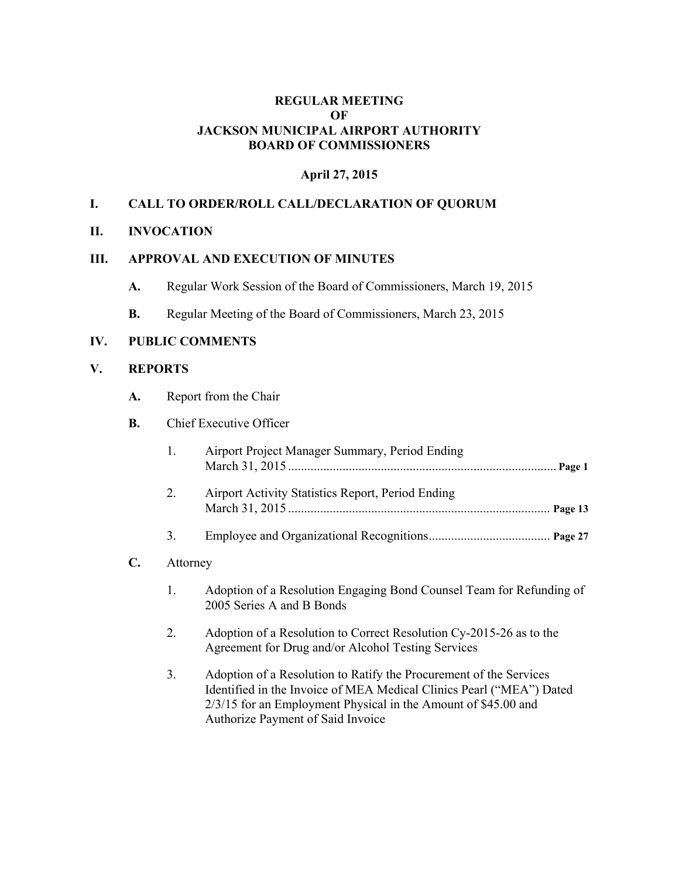### **REGULAR MEETING OF JACKSON MUNICIPAL AIRPORT AUTHORITY BOARD OF COMMISSIONERS**

### **April 27, 2015**

### **I. CALL TO ORDER/ROLL CALL/DECLARATION OF QUORUM**

#### **II. INVOCATION**

#### **III. APPROVAL AND EXECUTION OF MINUTES**

- **A.** Regular Work Session of the Board of Commissioners, March 19, 2015
- **B.** Regular Meeting of the Board of Commissioners, March 23, 2015

#### **IV. PUBLIC COMMENTS**

### **V. REPORTS**

 $C_{\bullet}$ 

**A.** Report from the Chair

#### **B.** Chief Executive Officer

|          | Airport Project Manager Summary, Period Ending                                                    |
|----------|---------------------------------------------------------------------------------------------------|
| 2.       | Airport Activity Statistics Report, Period Ending                                                 |
| 3.       |                                                                                                   |
| Attorney |                                                                                                   |
|          | Adoption of a Resolution Engaging Bond Counsel Team for Refunding of<br>2005 Series A and B Bonds |

- 2. Adoption of a Resolution to Correct Resolution Cy-2015-26 as to the Agreement for Drug and/or Alcohol Testing Services
- 3. Adoption of a Resolution to Ratify the Procurement of the Services Identified in the Invoice of MEA Medical Clinics Pearl ("MEA") Dated 2/3/15 for an Employment Physical in the Amount of \$45.00 and Authorize Payment of Said Invoice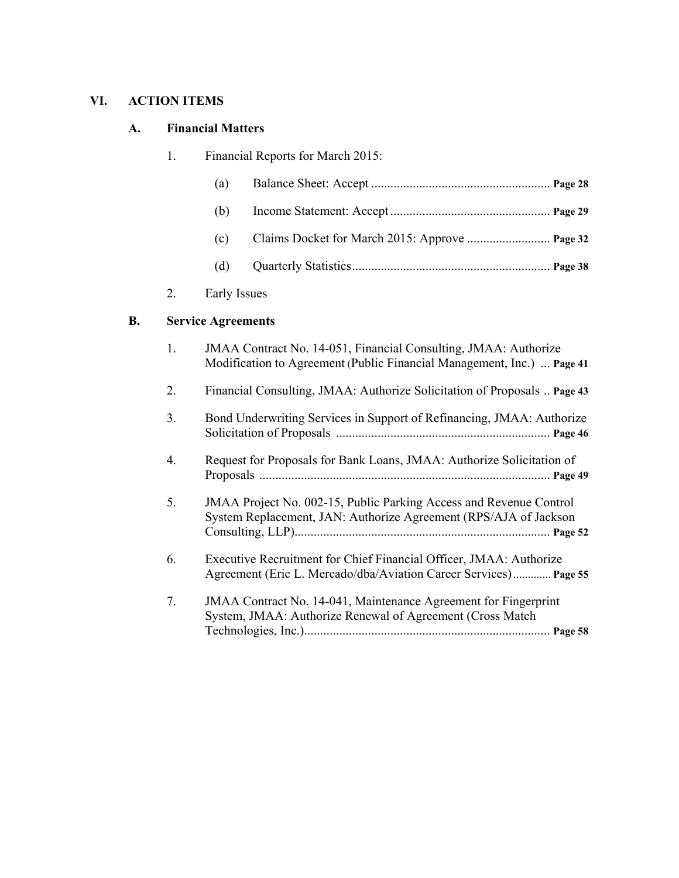# **VI. ACTION ITEMS**

### **A. Financial Matters**

| 1. |              | Financial Reports for March 2015: |
|----|--------------|-----------------------------------|
|    | (a)          |                                   |
|    | (b)          |                                   |
|    | (c)          |                                   |
|    | (d)          |                                   |
| 2. | Early Issues |                                   |
|    |              |                                   |

# **B. Service Agreements**

2.

| 1. | JMAA Contract No. 14-051, Financial Consulting, JMAA: Authorize<br>Modification to Agreement (Public Financial Management, Inc.)  Page 41 |
|----|-------------------------------------------------------------------------------------------------------------------------------------------|
| 2. | Financial Consulting, JMAA: Authorize Solicitation of Proposals  Page 43                                                                  |
| 3. | Bond Underwriting Services in Support of Refinancing, JMAA: Authorize                                                                     |
| 4. | Request for Proposals for Bank Loans, JMAA: Authorize Solicitation of                                                                     |
| 5. | JMAA Project No. 002-15, Public Parking Access and Revenue Control<br>System Replacement, JAN: Authorize Agreement (RPS/AJA of Jackson    |
| 6. | Executive Recruitment for Chief Financial Officer, JMAA: Authorize<br>Agreement (Eric L. Mercado/dba/Aviation Career Services) Page 55    |
| 7. | JMAA Contract No. 14-041, Maintenance Agreement for Fingerprint<br>System, JMAA: Authorize Renewal of Agreement (Cross Match              |